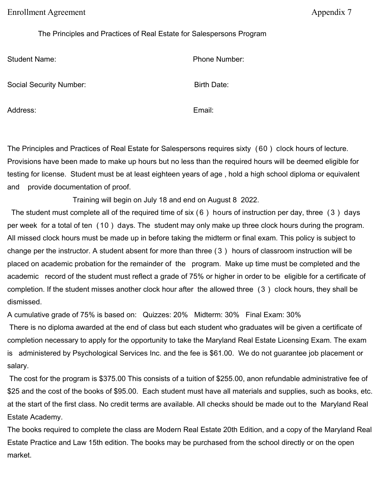Enrollment Agreement **Agreement** Appendix 7

The Principles and Practices of Real Estate for Salespersons Program

Student Name: et al. et al. et al. et al. et al. et al. et al. et al. et al. et al. et al. et al. et al. et al

Social Security Number: Birth Date:

Address: Email: Email: Email: Email: Email: Email: Email: Email: Email: Email: Email: Email: Email: Email: Email: Email: Email: Email: Email: Email: Email: Email: Email: Email: Email: Email: Email: Email: Email: Email: Ema

The Principles and Practices of Real Estate for Salespersons requires sixty ( 60 ) clock hours of lecture. Provisions have been made to make up hours but no less than the required hours will be deemed eligible for testing for license. Student must be at least eighteen years of age , hold a high school diploma or equivalent and provide documentation of proof.

Training will begin on July 18 and end on August 8 2022.

The student must complete all of the required time of six (6) hours of instruction per day, three (3) days per week for a total of ten (10 ) days. The student may only make up three clock hours during the program. All missed clock hours must be made up in before taking the midterm or final exam. This policy is subject to change per the instructor. A student absent for more than three ( 3 ) hours of classroom instruction will be placed on academic probation for the remainder of the program. Make up time must be completed and the academic record of the student must reflect a grade of 75% or higher in order to be eligible for a certificate of completion. If the student misses another clock hour after the allowed three (3 ) clock hours, they shall be dismissed.

A cumulative grade of 75% is based on: Quizzes: 20% Midterm: 30% Final Exam: 30%

There is no diploma awarded at the end of class but each student who graduates will be given a certificate of completion necessary to apply for the opportunity to take the Maryland Real Estate Licensing Exam. The exam is administered by Psychological Services Inc. and the fee is \$61.00. We do not guarantee job placement or salary.

The cost for the program is \$375.00 This consists of a tuition of \$255.00, anon refundable administrative fee of \$25 and the cost of the books of \$95.00. Each student must have all materials and supplies, such as books, etc. at the start of the first class. No credit terms are available. All checks should be made out to the Maryland Real Estate Academy.

The books required to complete the class are Modern Real Estate 20th Edition, and a copy of the Maryland Real Estate Practice and Law 15th edition. The books may be purchased from the school directly or on the open market.